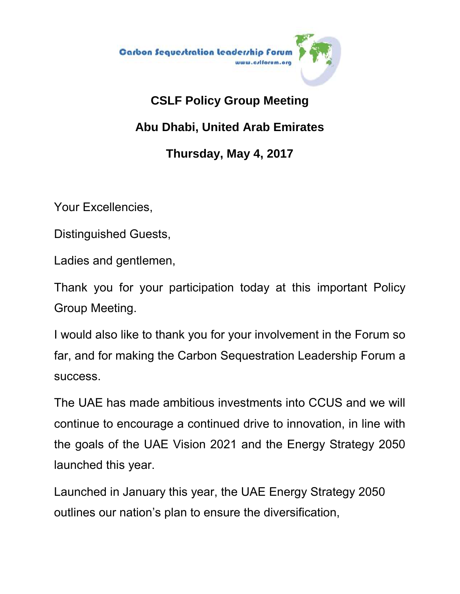

## **CSLF Policy Group Meeting Abu Dhabi, United Arab Emirates Thursday, May 4, 2017**

Your Excellencies,

Distinguished Guests,

Ladies and gentlemen,

Thank you for your participation today at this important Policy Group Meeting.

I would also like to thank you for your involvement in the Forum so far, and for making the Carbon Sequestration Leadership Forum a success.

The UAE has made ambitious investments into CCUS and we will continue to encourage a continued drive to innovation, in line with the goals of the UAE Vision 2021 and the Energy Strategy 2050 launched this year.

Launched in January this year, the UAE Energy Strategy 2050 outlines our nation's plan to ensure the diversification,